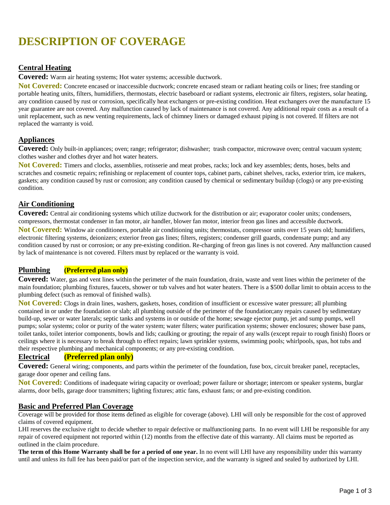# **DESCRIPTION OF COVERAGE**

## **Central Heating**

**Covered:** Warm air heating systems; Hot water systems; accessible ductwork.

**Not Covered:** Concrete encased or inaccessible ductwork; concrete encased steam or radiant heating coils or lines; free standing or portable heating units, filters, humidifiers, thermostats, electric baseboard or radiant systems, electronic air filters, registers, solar heating, any condition caused by rust or corrosion, specifically heat exchangers or pre-existing condition. Heat exchangers over the manufacture 15 year guarantee are not covered. Any malfunction caused by lack of maintenance is not covered. Any additional repair costs as a result of a unit replacement, such as new venting requirements, lack of chimney liners or damaged exhaust piping is not covered. If filters are not replaced the warranty is void.

#### **Appliances**

**Covered:** Only built-in appliances; oven; range; refrigerator; dishwasher; trash compactor, microwave oven; central vacuum system; clothes washer and clothes dryer and hot water heaters.

**Not Covered:** Timers and clocks, assemblies, rotisserie and meat probes, racks; lock and key assembles; dents, hoses, belts and scratches and cosmetic repairs; refinishing or replacement of counter tops, cabinet parts, cabinet shelves, racks, exterior trim, ice makers, gaskets; any condition caused by rust or corrosion; any condition caused by chemical or sedimentary buildup (clogs) or any pre-existing condition.

#### **Air Conditioning**

**Covered:** Central air conditioning systems which utilize ductwork for the distribution or air; evaporator cooler units; condensers, compressors, thermostat condenser in fan motor, air handler, blower fan motor, interior freon gas lines and accessible ductwork. **Not Covered:** Window air conditioners, portable air conditioning units; thermostats,compressor units over 15 years old;humidifiers, electronic filtering systems, deionizers; exterior freon gas lines; filters, registers; condenser grill guards, condensate pump; and any condition caused by rust or corrosion; or any pre-existing condition. Re-charging of freon gas lines is not covered. Any malfunction caused by lack of maintenance is not covered. Filters must by replaced or the warranty is void.

## **Plumbing (Preferred plan only)**

**Covered:** Water, gas and vent lines within the perimeter of the main foundation, drain, waste and vent lines within the perimeter of the main foundation; plumbing fixtures, faucets, shower or tub valves and hot water heaters. There is a \$500 dollar limit to obtain access to the plumbing defect (such as removal of finished walls).

**Not Covered:** Clogs in drain lines, washers, gaskets, hoses, condition of insufficient or excessive water pressure; all plumbing contained in or under the foundation or slab; all plumbing outside of the perimeter of the foundation;any repairs caused by sedimentary build-up, sewer or water laterals; septic tanks and systems in or outside of the home; sewage ejector pump, jet and sump pumps, well pumps; solar systems; color or purity of the water system; water filters; water purification systems; shower enclosures; shower base pans, toilet tanks, toilet interior components, bowls and lids; caulking or grouting; the repair of any walls (except repair to rough finish) floors or ceilings where it is necessary to break through to effect repairs; lawn sprinkler systems, swimming pools; whirlpools, spas, hot tubs and their respective plumbing and mechanical components; or any pre-existing condition.

## **Electrical (Preferred plan only)**

**Covered:** General wiring; components, and parts within the perimeter of the foundation, fuse box, circuit breaker panel, receptacles, garage door opener and ceiling fans.

**Not Covered:** Conditions of inadequate wiring capacity or overload; power failure or shortage; intercom or speaker systems, burglar alarms, door bells, garage door transmitters; lighting fixtures; attic fans, exhaust fans; or and pre-existing condition.

#### **Basic and Preferred Plan Coverage**

Coverage will be provided for those items defined as eligible for coverage (above). LHI will only be responsible for the cost of approved claims of covered equipment.

LHI reserves the exclusive right to decide whether to repair defective or malfunctioning parts. In no event will LHI be responsible for any repair of covered equipment not reported within (12) months from the effective date of this warranty. All claims must be reported as outlined in the claim procedure.

**The term of this Home Warranty shall be for a period of one year.** In no event will LHI have any responsibility under this warranty until and unless its full fee has been paid/or part of the inspection service, and the warranty is signed and sealed by authorized by LHI.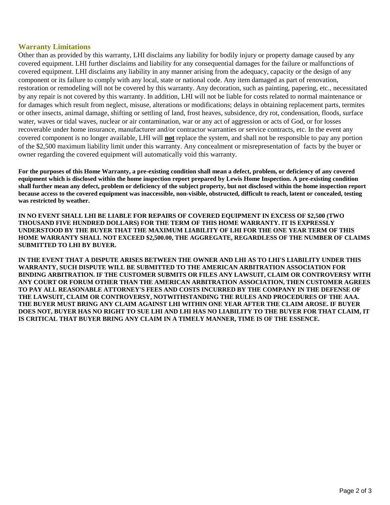#### **Warranty Limitations**

Other than as provided by this warranty, LHI disclaims any liability for bodily injury or property damage caused by any covered equipment. LHI further disclaims and liability for any consequential damages for the failure or malfunctions of covered equipment. LHI disclaims any liability in any manner arising from the adequacy, capacity or the design of any component or its failure to comply with any local, state or national code. Any item damaged as part of renovation, restoration or remodeling will not be covered by this warranty. Any decoration, such as painting, papering, etc., necessitated by any repair is not covered by this warranty. In addition, LHI will not be liable for costs related to normal maintenance or for damages which result from neglect, misuse, alterations or modifications; delays in obtaining replacement parts, termites or other insects, animal damage, shifting or settling of land, frost heaves, subsidence, dry rot, condensation, floods, surface water, waves or tidal waves, nuclear or air contamination, war or any act of aggression or acts of God, or for losses recoverable under home insurance, manufacturer and/or contractor warranties or service contracts, etc. In the event any covered component is no longer available, LHI will **not** replace the system, and shall not be responsible to pay any portion of the \$2,500 maximum liability limit under this warranty. Any concealment or misrepresentation of facts by the buyer or owner regarding the covered equipment will automatically void this warranty.

**For the purposes of this Home Warranty, a pre-existing condition shall mean a defect, problem, or deficiency of any covered equipment which is disclosed within the home inspection report prepared by Lewis Home Inspection. A pre-existing condition shall further mean any defect, problem or deficiency of the subject property, but not disclosed within the home inspection report because access to the covered equipment was inaccessible, non-visible, obstructed, difficult to reach, latent or concealed, testing was restricted by weather.** 

**IN NO EVENT SHALL LHI BE LIABLE FOR REPAIRS OF COVERED EQUIPMENT IN EXCESS OF \$2,500 (TWO THOUSAND FIVE HUNDRED DOLLARS) FOR THE TERM OF THIS HOME WARRANTY. IT IS EXPRESSLY UNDERSTOOD BY THE BUYER THAT THE MAXIMUM LIABILITY OF LHI FOR THE ONE YEAR TERM OF THIS HOME WARRANTY SHALL NOT EXCEED \$2,500.00, THE AGGREGATE, REGARDLESS OF THE NUMBER OF CLAIMS SUBMITTED TO LHI BY BUYER.**

**IN THE EVENT THAT A DISPUTE ARISES BETWEEN THE OWNER AND LHI AS TO LHI'S LIABILITY UNDER THIS WARRANTY, SUCH DISPUTE WILL BE SUBMITTED TO THE AMERICAN ARBITRATION ASSOCIATION FOR BINDING ARBITRATION. IF THE CUSTOMER SUBMITS OR FILES ANY LAWSUIT, CLAIM OR CONTROVERSY WITH ANY COURT OR FORUM OTHER THAN THE AMERICAN ARBITRATION ASSOCIATION, THEN CUSTOMER AGREES TO PAY ALL REASONABLE ATTORNEY'S FEES AND COSTS INCURRED BY THE COMPANY IN THE DEFENSE OF THE LAWSUIT, CLAIM OR CONTROVERSY, NOTWITHSTANDING THE RULES AND PROCEDURES OF THE AAA. THE BUYER MUST BRING ANY CLAIM AGAINST LHI WITHIN ONE YEAR AFTER THE CLAIM AROSE. IF BUYER DOES NOT, BUYER HAS NO RIGHT TO SUE LHI AND LHI HAS NO LIABILITY TO THE BUYER FOR THAT CLAIM, IT IS CRITICAL THAT BUYER BRING ANY CLAIM IN A TIMELY MANNER, TIME IS OF THE ESSENCE.**